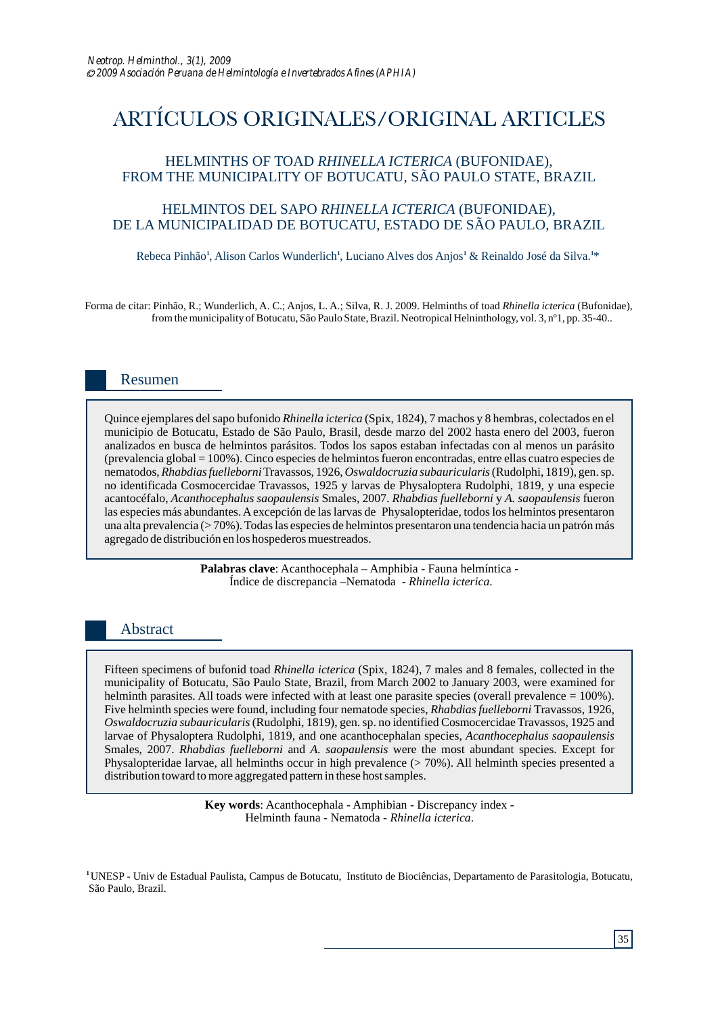# ARTÍCULOS ORIGINALES/ORIGINAL ARTICLES

## HELMINTHS OF TOAD *RHINELLA ICTERICA* (BUFONIDAE), FROM THE MUNICIPALITY OF BOTUCATU, SÃO PAULO STATE, BRAZIL

## HELMINTOS DEL SAPO *RHINELLA ICTERICA* (BUFONIDAE), DE LA MUNICIPALIDAD DE BOTUCATU, ESTADO DE SÃO PAULO, BRAZIL

Rebeca Pinhão<sup>1</sup>, Alison Carlos Wunderlich<sup>1</sup>, Luciano Alves dos Anjos<sup>1</sup> & Reinaldo José da Silva.<sup>1\*</sup>

Forma de citar: Pinhão, R.; Wunderlich, A. C.; Anjos, L. A.; Silva, R. J. 2009. Helminths of toad *Rhinella icterica* (Bufonidae), from the municipality of Botucatu, São Paulo State, Brazil. Neotropical Helninthology, vol. 3, nº1, pp. 35-40..

# Resumen

Quince ejemplares del sapo bufonido *Rhinella icterica* (Spix, 1824), 7 machos y 8 hembras, colectados en el municipio de Botucatu, Estado de São Paulo, Brasil, desde marzo del 2002 hasta enero del 2003, fueron analizados en busca de helmintos parásitos. Todos los sapos estaban infectadas con al menos un parásito (prevalencia global = 100%). Cinco especies de helmintos fueron encontradas, entre ellas cuatro especies de nematodos, *Rhabdias fuelleborni*Travassos, 1926, *Oswaldocruzia subauricularis*(Rudolphi, 1819), gen. sp. no identificada Cosmocercidae Travassos, 1925 y larvas de Physaloptera Rudolphi, 1819, y una especie acantocéfalo, *Acanthocephalus saopaulensis* Smales, 2007. *Rhabdias fuelleborni* y *A. saopaulensis* fueron las especies más abundantes. Aexcepción de las larvas de Physalopteridae, todos los helmintos presentaron una alta prevalencia (> 70%). Todas las especies de helmintos presentaron una tendencia hacia un patrón más agregado de distribución en los hospederos muestreados.

> **Palabras clave**: Acanthocephala – Amphibia - Fauna helmíntica - Índice de discrepancia *–*Nematoda - *Rhinella icterica*.

## Abstract

Fifteen specimens of bufonid toad *Rhinella icterica* (Spix, 1824), 7 males and 8 females, collected in the municipality of Botucatu, São Paulo State, Brazil, from March 2002 to January 2003, were examined for helminth parasites. All toads were infected with at least one parasite species (overall prevalence = 100%). Five helminth species were found, including four nematode species, *Rhabdias fuelleborni* Travassos, 1926, *Oswaldocruzia subauricularis* (Rudolphi, 1819), gen. sp. no identified Cosmocercidae Travassos, 1925 and larvae of Physaloptera Rudolphi, 1819, and one acanthocephalan species, *Acanthocephalus saopaulensis*  Smales, 2007. *Rhabdias fuelleborni* and *A. saopaulensis* were the most abundant species. Except for Physalopteridae larvae, all helminths occur in high prevalence (> 70%). All helminth species presented a distribution toward to more aggregated pattern in these host samples.

> **Key words**: Acanthocephala - Amphibian - Discrepancy index - Helminth fauna - Nematoda - *Rhinella icterica*.

**<sup>1</sup>**UNESP - Univ de Estadual Paulista, Campus de Botucatu, Instituto de Biociências, Departamento de Parasitologia, Botucatu, São Paulo, Brazil.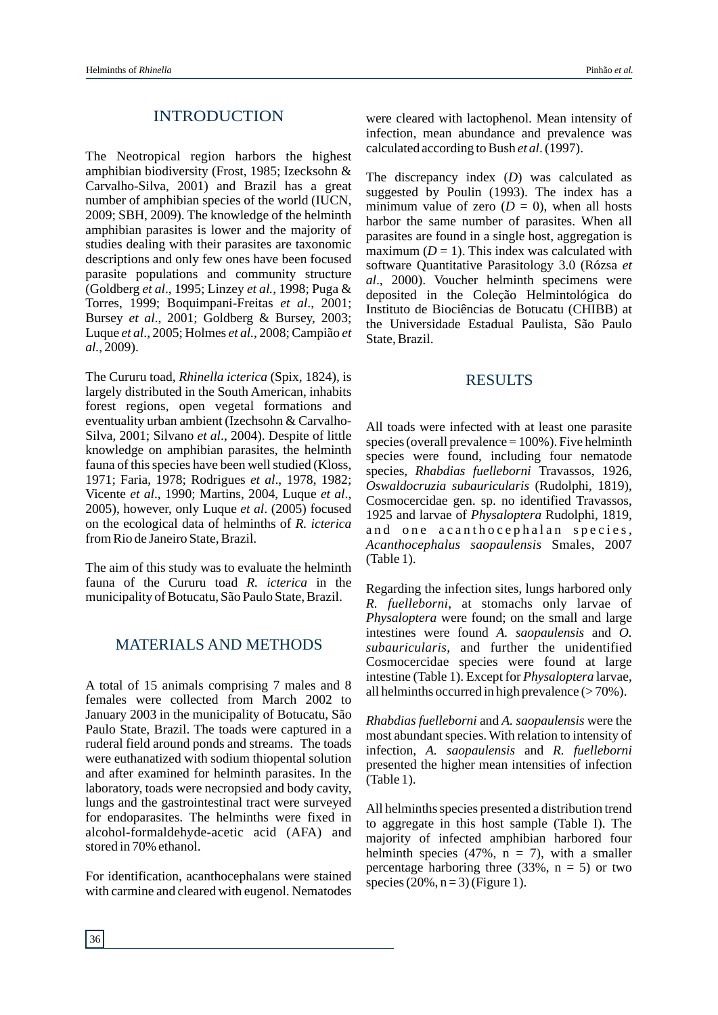#### INTRODUCTION

The Neotropical region harbors the highest amphibian biodiversity (Frost, 1985; Izecksohn & Carvalho-Silva, 2001) and Brazil has a great number of amphibian species of the world (IUCN, 2009; SBH, 2009). The knowledge of the helminth amphibian parasites is lower and the majority of studies dealing with their parasites are taxonomic descriptions and only few ones have been focused parasite populations and community structure (Goldberg *et al*., 1995; Linzey *et al.*, 1998; Puga & Torres, 1999; Boquimpani-Freitas *et al*., 2001; Bursey *et al*., 2001; Goldberg & Bursey, 2003; Luque *et al*., 2005; Holmes *et al.*, 2008; Campião *et al.*, 2009).

The Cururu toad, *Rhinella icterica* (Spix, 1824), is largely distributed in the South American, inhabits forest regions, open vegetal formations and eventuality urban ambient (Izechsohn & Carvalho-Silva, 2001; Silvano *et al*., 2004). Despite of little knowledge on amphibian parasites, the helminth fauna of this species have been well studied (Kloss, 1971; Faria, 1978; Rodrigues *et al*., 1978, 1982; Vicente *et al*., 1990; Martins, 2004, Luque *et al*., 2005), however, only Luque *et al*. (2005) focused on the ecological data of helminths of *R. icterica* from Rio de Janeiro State, Brazil.

The aim of this study was to evaluate the helminth fauna of the Cururu toad *R. icterica* in the municipality of Botucatu, São Paulo State, Brazil.

## MATERIALS AND METHODS

A total of 15 animals comprising 7 males and 8 females were collected from March 2002 to January 2003 in the municipality of Botucatu, São Paulo State, Brazil. The toads were captured in a ruderal field around ponds and streams. The toads were euthanatized with sodium thiopental solution and after examined for helminth parasites. In the laboratory, toads were necropsied and body cavity, lungs and the gastrointestinal tract were surveyed for endoparasites. The helminths were fixed in alcohol-formaldehyde-acetic acid (AFA) and stored in 70% ethanol.

For identification, acanthocephalans were stained with carmine and cleared with eugenol. Nematodes were cleared with lactophenol. Mean intensity of infection, mean abundance and prevalence was calculated according to Bush *et al*. (1997).

The discrepancy index (*D*) was calculated as suggested by Poulin (1993). The index has a minimum value of zero  $(D = 0)$ , when all hosts harbor the same number of parasites. When all parasites are found in a single host, aggregation is maximum  $(D = 1)$ . This index was calculated with software Quantitative Parasitology 3.0 (Rózsa *et al*., 2000). Voucher helminth specimens were deposited in the Coleção Helmintológica do Instituto de Biociências de Botucatu (CHIBB) at the Universidade Estadual Paulista, São Paulo State, Brazil.

#### **RESULTS**

All toads were infected with at least one parasite species (overall prevalence  $= 100\%$ ). Five helminth species were found, including four nematode species, *Rhabdias fuelleborni* Travassos, 1926, *Oswaldocruzia subauricularis* (Rudolphi, 1819), Cosmocercidae gen. sp. no identified Travassos, 1925 and larvae of *Physaloptera* Rudolphi, 1819, and one acanthocephalan species, *Acanthocephalus saopaulensis* Smales, 2007 (Table 1).

Regarding the infection sites, lungs harbored only *R. fuelleborni*, at stomachs only larvae of *Physaloptera* were found; on the small and large intestines were found *A. saopaulensis* and *O. subauricularis*, and further the unidentified Cosmocercidae species were found at large intestine (Table 1). Except for *Physaloptera* larvae, all helminths occurred in high prevalence  $($  > 70%).

*Rhabdias fuelleborni* and *A. saopaulensis* were the most abundant species. With relation to intensity of infection, *A. saopaulensis* and *R. fuelleborni* presented the higher mean intensities of infection (Table 1).

All helminths species presented a distribution trend to aggregate in this host sample (Table I). The majority of infected amphibian harbored four helminth species (47%,  $n = 7$ ), with a smaller percentage harboring three  $(33\%), n = 5$  or two species  $(20\%, n=3)$  (Figure 1).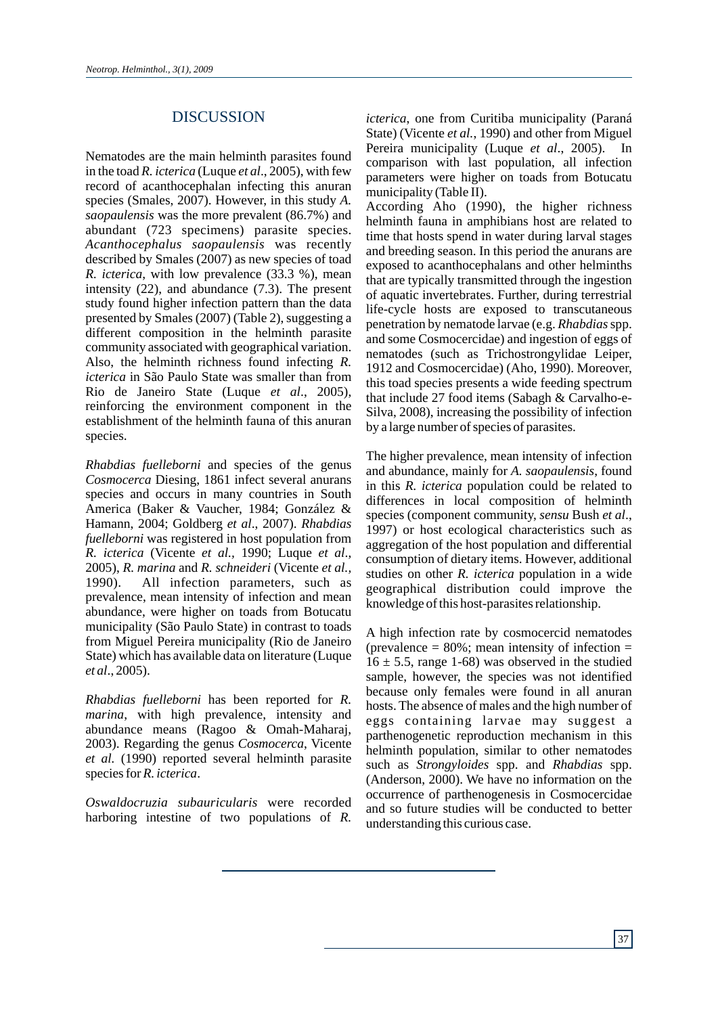## DISCUSSION

Nematodes are the main helminth parasites found in the toad *R. icterica* (Luque *et al*., 2005), with few record of acanthocephalan infecting this anuran species (Smales, 2007). However, in this study *A. saopaulensis* was the more prevalent (86.7%) and abundant (723 specimens) parasite species. *Acanthocephalus saopaulensis* was recently described by Smales (2007) as new species of toad *R. icterica*, with low prevalence (33.3 %), mean intensity (22), and abundance (7.3). The present study found higher infection pattern than the data presented by Smales (2007) (Table 2), suggesting a different composition in the helminth parasite community associated with geographical variation. Also, the helminth richness found infecting *R. icterica* in São Paulo State was smaller than from Rio de Janeiro State (Luque *et al*., 2005), reinforcing the environment component in the establishment of the helminth fauna of this anuran species.

*Rhabdias fuelleborni* and species of the genus *Cosmocerca* Diesing, 1861 infect several anurans species and occurs in many countries in South America (Baker & Vaucher, 1984; González & Hamann, 2004; Goldberg *et al*., 2007). *Rhabdias fuelleborni* was registered in host population from *R. icterica* (Vicente *et al.,* 1990; Luque *et al*., 2005), *R. marina* and *R. schneideri* (Vicente *et al.,*  1990). All infection parameters, such as prevalence, mean intensity of infection and mean abundance, were higher on toads from Botucatu municipality (São Paulo State) in contrast to toads from Miguel Pereira municipality (Rio de Janeiro State) which has available data on literature (Luque *et al*., 2005).

*Rhabdias fuelleborni* has been reported for *R. marina*, with high prevalence, intensity and abundance means (Ragoo & Omah-Maharaj, 2003). Regarding the genus *Cosmocerca*, Vicente *et al.* (1990) reported several helminth parasite species for *R. icterica*.

*Oswaldocruzia subauricularis* were recorded harboring intestine of two populations of *R.* 

*icterica*, one from Curitiba municipality (Paraná State) (Vicente *et al.*, 1990) and other from Miguel Pereira municipality (Luque *et al*., 2005). In comparison with last population, all infection parameters were higher on toads from Botucatu municipality (Table II).

According Aho (1990), the higher richness helminth fauna in amphibians host are related to time that hosts spend in water during larval stages and breeding season. In this period the anurans are exposed to acanthocephalans and other helminths that are typically transmitted through the ingestion of aquatic invertebrates. Further, during terrestrial life-cycle hosts are exposed to transcutaneous penetration by nematode larvae (e.g. *Rhabdias*spp. and some Cosmocercidae) and ingestion of eggs of nematodes (such as Trichostrongylidae Leiper, 1912 and Cosmocercidae) (Aho, 1990). Moreover, this toad species presents a wide feeding spectrum that include 27 food items (Sabagh & Carvalho-e-Silva, 2008), increasing the possibility of infection by a large number of species of parasites.

The higher prevalence, mean intensity of infection and abundance, mainly for *A. saopaulensis*, found in this *R. icterica* population could be related to differences in local composition of helminth species (component community, *sensu* Bush *et al*., 1997) or host ecological characteristics such as aggregation of the host population and differential consumption of dietary items. However, additional studies on other *R. icterica* population in a wide geographical distribution could improve the knowledge of this host-parasites relationship.

A high infection rate by cosmocercid nematodes (prevalence  $= 80\%$ ; mean intensity of infection  $=$  $16 \pm 5.5$ , range 1-68) was observed in the studied sample, however, the species was not identified because only females were found in all anuran hosts. The absence of males and the high number of eggs containing larvae may suggest a parthenogenetic reproduction mechanism in this helminth population, similar to other nematodes such as *Strongyloides* spp. and *Rhabdias* spp. (Anderson, 2000). We have no information on the occurrence of parthenogenesis in Cosmocercidae and so future studies will be conducted to better understanding this curious case.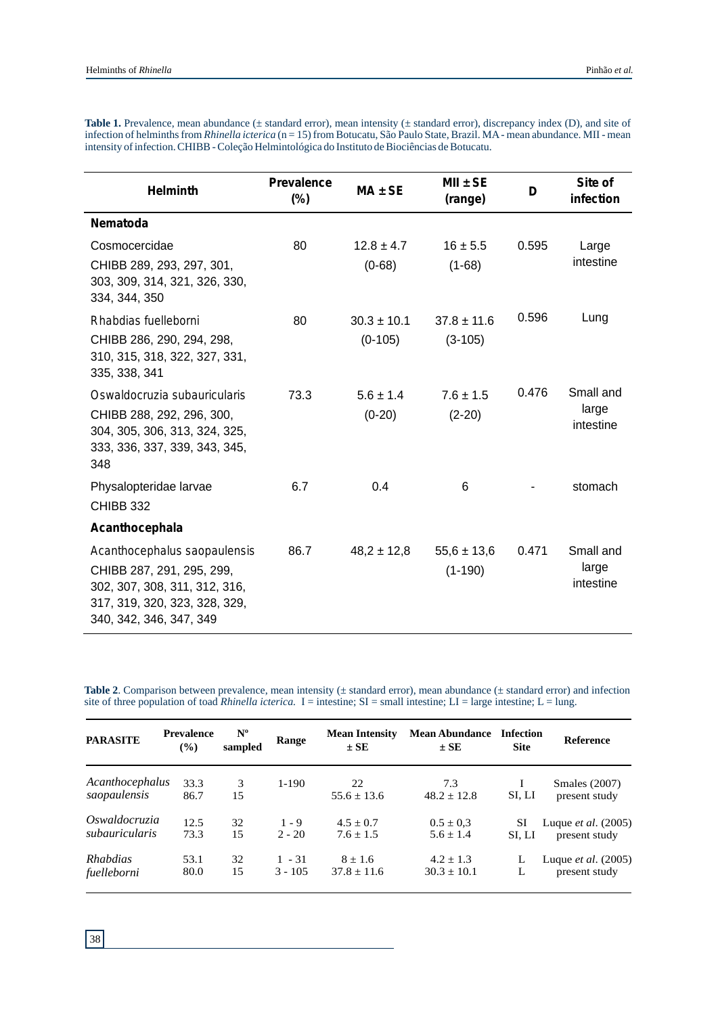| <b>Helminth</b>                                                                                                                                        | <b>Prevalence</b><br>$(\%)$ | $MA \pm SE$                  | $MII \pm SE$<br>(range)      | D     | Site of<br>infection            |
|--------------------------------------------------------------------------------------------------------------------------------------------------------|-----------------------------|------------------------------|------------------------------|-------|---------------------------------|
| <b>Nematoda</b>                                                                                                                                        |                             |                              |                              |       |                                 |
| Cosmocercidae<br>CHIBB 289, 293, 297, 301,<br>303, 309, 314, 321, 326, 330,<br>334, 344, 350                                                           | 80                          | $12.8 \pm 4.7$<br>$(0-68)$   | $16 \pm 5.5$<br>$(1-68)$     | 0.595 | Large<br>intestine              |
| Rhabdias fuelleborni<br>CHIBB 286, 290, 294, 298,<br>310, 315, 318, 322, 327, 331,<br>335, 338, 341                                                    | 80                          | $30.3 \pm 10.1$<br>$(0-105)$ | $37.8 \pm 11.6$<br>$(3-105)$ | 0.596 | Lung                            |
| Oswaldocruzia subauricularis<br>CHIBB 288, 292, 296, 300,<br>304, 305, 306, 313, 324, 325,<br>333, 336, 337, 339, 343, 345,<br>348                     | 73.3                        | $5.6 \pm 1.4$<br>$(0-20)$    | $7.6 \pm 1.5$<br>$(2-20)$    | 0.476 | Small and<br>large<br>intestine |
| Physalopteridae larvae<br><b>CHIBB 332</b>                                                                                                             | 6.7                         | 0.4                          | 6                            |       | stomach                         |
| Acanthocephala                                                                                                                                         |                             |                              |                              |       |                                 |
| Acanthocephalus saopaulensis<br>CHIBB 287, 291, 295, 299,<br>302, 307, 308, 311, 312, 316,<br>317, 319, 320, 323, 328, 329,<br>340, 342, 346, 347, 349 | 86.7                        | $48,2 \pm 12,8$              | $55,6 \pm 13,6$<br>$(1-190)$ | 0.471 | Small and<br>large<br>intestine |

Table 1. Prevalence, mean abundance ( $\pm$  standard error), mean intensity ( $\pm$  standard error), discrepancy index (D), and site of infection of helminths from *Rhinella icterica* (n = 15) from Botucatu, São Paulo State, Brazil. MA - mean abundance. MII - mean intensity of infection. CHIBB - Coleção Helmintológica do Instituto de Biociências de Botucatu.

**Table 2**. Comparison between prevalence, mean intensity ( $\pm$  standard error), mean abundance ( $\pm$  standard error) and infection site of three population of toad *Rhinella icterica*.  $I =$  intestine;  $SI =$  small intestine;  $LI =$  large intestine;  $L =$  lung.

| <b>PARASITE</b>                 | <b>Prevalence</b><br>$($ %) | $N^{\circ}$<br>sampled | Range     | <b>Mean Intensity</b><br>$\pm$ SE | <b>Mean Abundance</b><br>$\pm$ SE | Infection<br><b>Site</b> | <b>Reference</b>                      |
|---------------------------------|-----------------------------|------------------------|-----------|-----------------------------------|-----------------------------------|--------------------------|---------------------------------------|
| Acanthocephalus<br>saopaulensis | 33.3<br>86.7                | 3<br>15                | $1-190$   | 22<br>$55.6 \pm 13.6$             | 7.3<br>$48.2 \pm 12.8$            | SI, LI                   | <b>Smales</b> (2007)<br>present study |
| Oswaldocruzia                   | 12.5                        | 32                     | $1 - 9$   | $4.5 + 0.7$                       | $0.5 \pm 0.3$                     | SI                       | Luque <i>et al.</i> (2005)            |
| subauricularis                  | 73.3                        | 15                     | $2 - 20$  | $7.6 + 1.5$                       | $5.6 \pm 1.4$                     | SI, LI                   | present study                         |
| <i>Rhabdias</i>                 | 53.1                        | 32                     | $1 - 31$  | $8 \pm 1.6$                       | $4.2 \pm 1.3$                     | L                        | Luque <i>et al.</i> (2005)            |
| fuelleborni                     | 80.0                        | 15                     | $3 - 105$ | $37.8 + 11.6$                     | $30.3 \pm 10.1$                   | L                        | present study                         |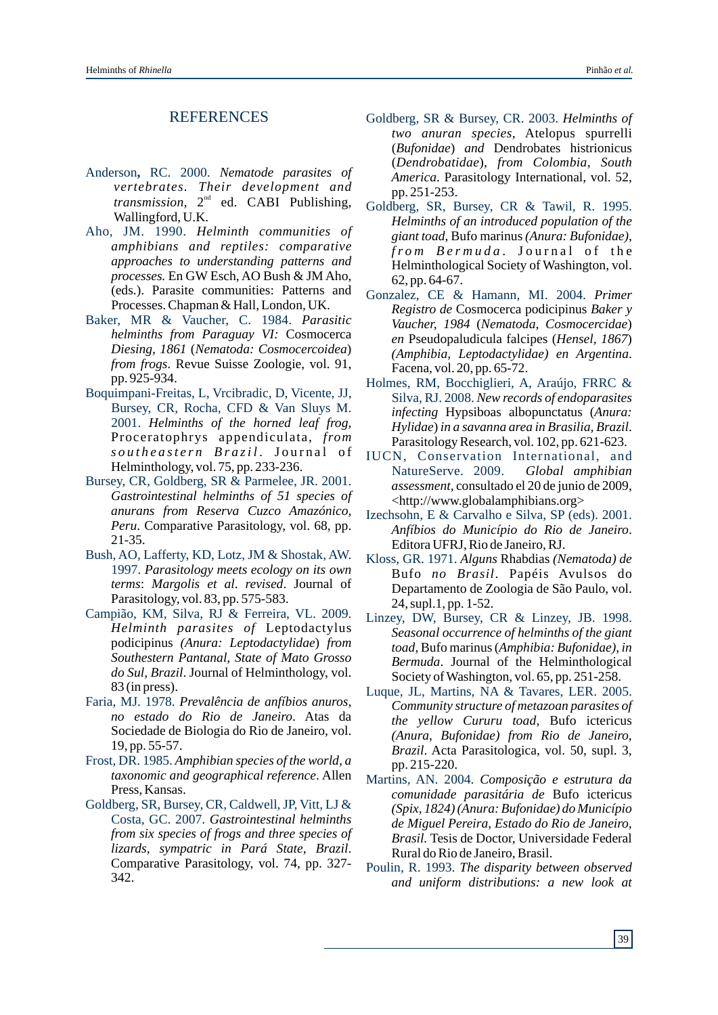## REFERENCES

- Anderson**,** RC. 2000. *Nematode parasites of vertebrates. Their development and* transmission, 2<sup>nd</sup> ed. CABI Publishing, Wallingford, U.K.
- Aho, JM. 1990. *Helminth communities of amphibians and reptiles: comparative approaches to understanding patterns and processes.* En GW Esch, AO Bush & JM Aho, (eds.). Parasite communities: Patterns and Processes. Chapman & Hall, London, UK.
- Baker, MR & Vaucher, C. 1984. *Parasitic helminths from Paraguay VI:* Cosmocerca *Diesing, 1861* (*Nematoda: Cosmocercoidea*) *from frogs*. Revue Suisse Zoologie, vol. 91, pp. 925-934.
- Boquimpani-Freitas, L, Vrcibradic, D, Vicente, JJ, Bursey, CR, Rocha, CFD & Van Sluys M. 2001. *Helminths of the horned leaf frog,*  Proceratophrys appendiculata, *from s o u t h e a st e r n B r a zi l* . J o u r n a l o f Helminthology, vol. 75, pp. 233-236.
- Bursey, CR, Goldberg, SR & Parmelee, JR. 2001. *Gastrointestinal helminths of 51 species of anurans from Reserva Cuzco Amazónico, Peru*. Comparative Parasitology, vol. 68, pp. 21-35.
- Bush, AO, Lafferty, KD, Lotz, JM & Shostak, AW. 1997. *Parasitology meets ecology on its own terms*: *Margolis et al*. *revised*. Journal of Parasitology, vol. 83, pp. 575-583.
- Campião, KM, Silva, RJ & Ferreira, VL. 2009. *Helminth parasites of* Leptodactylus podicipinus *(Anura: Leptodactylidae*) *from Southestern Pantanal, State of Mato Grosso do Sul, Brazil*. Journal of Helminthology, vol. 83 (in press).
- Faria, MJ. 1978. *Prevalência de anfíbios anuros, no estado do Rio de Janeiro*. Atas da Sociedade de Biologia do Rio de Janeiro, vol. 19, pp. 55-57.
- Frost, DR. 1985. *Amphibian species of the world, a taxonomic and geographical reference*. Allen Press, Kansas.
- Goldberg, SR, Bursey, CR, Caldwell, JP, Vitt, LJ & Costa, GC. 2007. *Gastrointestinal helminths from six species of frogs and three species of lizards, sympatric in Pará State, Brazil*. Comparative Parasitology, vol. 74, pp. 327- 342.
- Goldberg, SR & Bursey, CR. 2003. *Helminths of two anuran species*, Atelopus spurrelli (*Bufonidae*) *and* Dendrobates histrionicus (*Dendrobatidae*), *from Colombia, South America*. Parasitology International, vol. 52, pp. 251-253.
- Goldberg, SR, Bursey, CR & Tawil, R. 1995. *Helminths of an introduced population of the giant toad*, Bufo marinus*(Anura: Bufonidae)*, *fr o m B e r m u d a* . J o u r n a l o f t h e Helminthological Society of Washington, vol. 62, pp. 64-67.
- Gonzalez, CE & Hamann, MI. 2004. *Primer Registro de* Cosmocerca podicipinus *Baker y Vaucher, 1984* (*Nematoda, Cosmocercidae*) *en* Pseudopaludicula falcipes (*Hensel, 1867*) *(Amphibia, Leptodactylidae) en Argentina*. Facena, vol. 20, pp. 65-72.
- Holmes, RM, Bocchiglieri, A, Araújo, FRRC & Silva, RJ. 2008. *New records of endoparasites*  Parasitology Research, vol. 102, pp. 621-623. *infecting* Hypsiboas albopunctatus (*Anura: Hylidae*) *in a savanna area in Brasilia, Brazil*.
- IUCN, Conservation International, and NatureServe. 2009. *Global amphibian assessment,* consultado el 20 de junio de 2009, <http://www.globalamphibians.org>
- Izechsohn, E & Carvalho e Silva, SP (eds). 2001. *Anfíbios do Município do Rio de Janeiro*. Editora UFRJ, Rio de Janeiro, RJ.
- Kloss, GR. 1971. *Alguns* Rhabdias *(Nematoda) de* Bufo *no Brasil*. Papéis Avulsos do Departamento de Zoologia de São Paulo, vol. 24, supl.1, pp. 1-52.
- Linzey, DW, Bursey, CR & Linzey, JB. 1998. *Seasonal occurrence of helminths of the giant toad*, Bufo marinus(*Amphibia: Bufonidae)*, *in Bermuda*. Journal of the Helminthological Society of Washington, vol. 65, pp. 251-258.
- Luque, JL, Martins, NA & Tavares, LER. 2005. *Community structure of metazoan parasites of the yellow Cururu toad*, Bufo ictericus *(Anura, Bufonidae) from Rio de Janeiro, Brazil*. Acta Parasitologica, vol. 50, supl. 3, pp. 215-220.
- Martins, AN. 2004. *Composição e estrutura da comunidade parasitária de* Bufo ictericus *(Spix, 1824) (Anura: Bufonidae) do Município de Miguel Pereira, Estado do Rio de Janeiro, Brasil.* Tesis de Doctor, Universidade Federal Rural do Rio de Janeiro, Brasil.
- Poulin, R. 1993. *The disparity between observed and uniform distributions: a new look at*